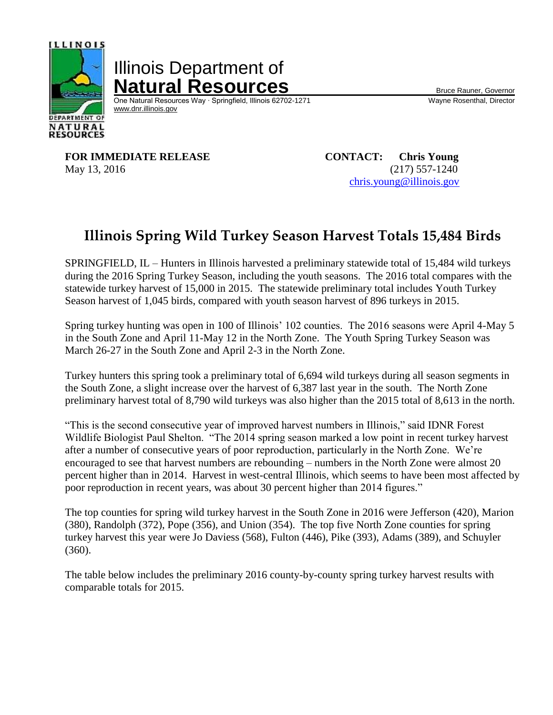

Illinois Department of **Natural Resources**<br>
One Natural Resources Way · Springfield, Illinois 62702-1271 Wayne Rosenthal, Director

One Natural Resources Way ⋅ Springfield, Illinois 62702-1271 [www.dnr.illinois.gov](http://www.dnr.illinois.gov/)

**FOR IMMEDIATE RELEASE CONTACT: Chris Young** May 13, 2016 (217) 557-1240

[chris.young@illinois.gov](mailto:doug.dufford@illinois.gov)

## **Illinois Spring Wild Turkey Season Harvest Totals 15,484 Birds**

SPRINGFIELD, IL – Hunters in Illinois harvested a preliminary statewide total of 15,484 wild turkeys during the 2016 Spring Turkey Season, including the youth seasons. The 2016 total compares with the statewide turkey harvest of 15,000 in 2015. The statewide preliminary total includes Youth Turkey Season harvest of 1,045 birds, compared with youth season harvest of 896 turkeys in 2015.

Spring turkey hunting was open in 100 of Illinois' 102 counties. The 2016 seasons were April 4-May 5 in the South Zone and April 11-May 12 in the North Zone. The Youth Spring Turkey Season was March 26-27 in the South Zone and April 2-3 in the North Zone.

Turkey hunters this spring took a preliminary total of 6,694 wild turkeys during all season segments in the South Zone, a slight increase over the harvest of 6,387 last year in the south. The North Zone preliminary harvest total of 8,790 wild turkeys was also higher than the 2015 total of 8,613 in the north.

"This is the second consecutive year of improved harvest numbers in Illinois," said IDNR Forest Wildlife Biologist Paul Shelton. "The 2014 spring season marked a low point in recent turkey harvest after a number of consecutive years of poor reproduction, particularly in the North Zone. We're encouraged to see that harvest numbers are rebounding – numbers in the North Zone were almost 20 percent higher than in 2014. Harvest in west-central Illinois, which seems to have been most affected by poor reproduction in recent years, was about 30 percent higher than 2014 figures."

The top counties for spring wild turkey harvest in the South Zone in 2016 were Jefferson (420), Marion (380), Randolph (372), Pope (356), and Union (354). The top five North Zone counties for spring turkey harvest this year were Jo Daviess (568), Fulton (446), Pike (393), Adams (389), and Schuyler (360).

The table below includes the preliminary 2016 county-by-county spring turkey harvest results with comparable totals for 2015.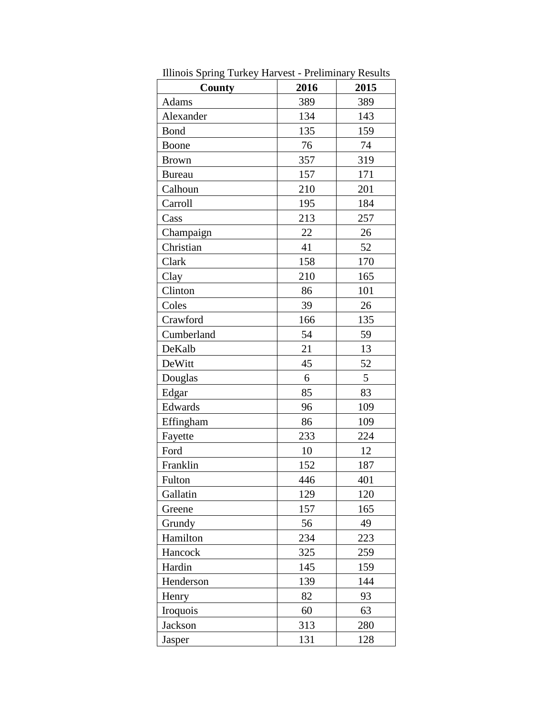| County        | 2016 | 2015 |
|---------------|------|------|
| Adams         | 389  | 389  |
| Alexander     | 134  | 143  |
| Bond          | 135  | 159  |
| Boone         | 76   | 74   |
| <b>Brown</b>  | 357  | 319  |
| <b>Bureau</b> | 157  | 171  |
| Calhoun       | 210  | 201  |
| Carroll       | 195  | 184  |
| Cass          | 213  | 257  |
| Champaign     | 22   | 26   |
| Christian     | 41   | 52   |
| Clark         | 158  | 170  |
| Clay          | 210  | 165  |
| Clinton       | 86   | 101  |
| Coles         | 39   | 26   |
| Crawford      | 166  | 135  |
| Cumberland    | 54   | 59   |
| DeKalb        | 21   | 13   |
| DeWitt        | 45   | 52   |
| Douglas       | 6    | 5    |
| Edgar         | 85   | 83   |
| Edwards       | 96   | 109  |
| Effingham     | 86   | 109  |
| Fayette       | 233  | 224  |
| Ford          | 10   | 12   |
| Franklin      | 152  | 187  |
| Fulton        | 446  | 401  |
| Gallatin      | 129  | 120  |
| Greene        | 157  | 165  |
| Grundy        | 56   | 49   |
| Hamilton      | 234  | 223  |
| Hancock       | 325  | 259  |
| Hardin        | 145  | 159  |
| Henderson     | 139  | 144  |
| Henry         | 82   | 93   |
| Iroquois      | 60   | 63   |
| Jackson       | 313  | 280  |
| Jasper        | 131  | 128  |

Illinois Spring Turkey Harvest - Preliminary Results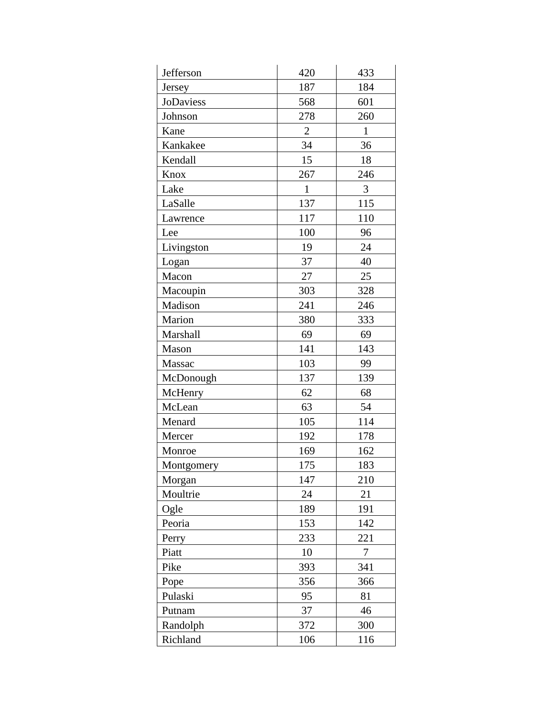| Jefferson  | 420            | 433          |
|------------|----------------|--------------|
| Jersey     | 187            | 184          |
| JoDaviess  | 568            | 601          |
| Johnson    | 278            | 260          |
| Kane       | $\overline{2}$ | $\mathbf{1}$ |
| Kankakee   | 34             | 36           |
| Kendall    | 15             | 18           |
| Knox       | 267            | 246          |
| Lake       | $\mathbf{1}$   | 3            |
| LaSalle    | 137            | 115          |
| Lawrence   | 117            | 110          |
| Lee        | 100            | 96           |
| Livingston | 19             | 24           |
| Logan      | 37             | 40           |
| Macon      | 27             | 25           |
| Macoupin   | 303            | 328          |
| Madison    | 241            | 246          |
| Marion     | 380            | 333          |
| Marshall   | 69             | 69           |
| Mason      | 141            | 143          |
| Massac     | 103            | 99           |
| McDonough  | 137            | 139          |
| McHenry    | 62             | 68           |
| McLean     | 63             | 54           |
| Menard     | 105            | 114          |
| Mercer     | 192            | 178          |
| Monroe     | 169            | 162          |
| Montgomery | 175            | 183          |
| Morgan     | 147            | 210          |
| Moultrie   | 24             | 21           |
| Ogle       | 189            | 191          |
| Peoria     | 153            | 142          |
| Perry      | 233            | 221          |
| Piatt      | 10             | 7            |
| Pike       | 393            | 341          |
| Pope       | 356            | 366          |
| Pulaski    | 95             | 81           |
| Putnam     | 37             | 46           |
| Randolph   | 372            | 300          |
| Richland   | 106            | 116          |